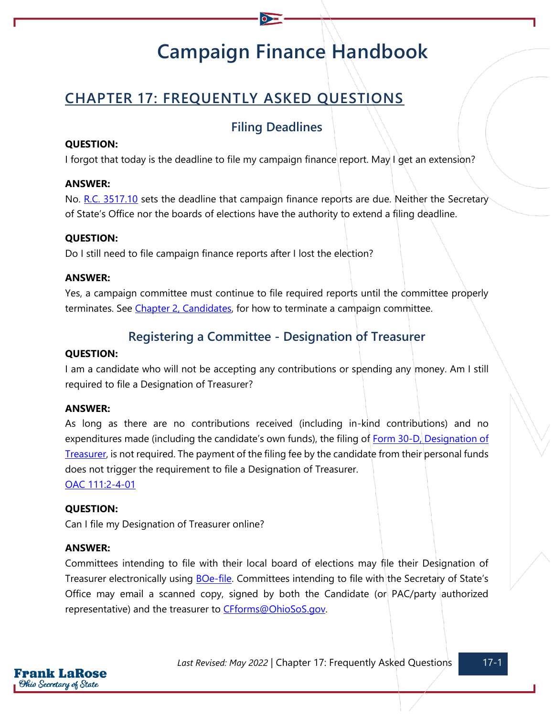# **Campaign Finance Handbook**

## **CHAPTER 17: FREQUENTLY ASKED QUESTIONS**

## **Filing Deadlines**

#### **QUESTION:**

I forgot that today is the deadline to file my campaign finance report. May I get an extension?

#### **ANSWER:**

No. [R.C. 3517.10](https://codes.ohio.gov/ohio-revised-code/section-3517.10) sets the deadline that campaign finance reports are due. Neither the Secretary of State's Office nor the boards of elections have the authority to extend a filing deadline.

#### **QUESTION:**

Do I still need to file campaign finance reports after I lost the election?

#### **ANSWER:**

Yes, a campaign committee must continue to file required reports until the committee properly terminates. See [Chapter 2, Candidates,](https://www.ohiosos.gov/globalassets/candidates/cfguide/chapters/chapter2.pdf) for how to terminate a campaign committee.

## **Registering a Committee - Designation of Treasurer**

#### **QUESTION:**

I am a candidate who will not be accepting any contributions or spending any money. Am I still required to file a Designation of Treasurer?

#### **ANSWER:**

As long as there are no contributions received (including in-kind contributions) and no expenditures made (including the candidate's own funds), the filing of Form 30-D, Designation of [Treasurer,](https://www.ohiosos.gov/globalassets/candidates/forms/30d.pdf) is not required. The payment of the filing fee by the candidate from their personal funds does not trigger the requirement to file a Designation of Treasurer.

[OAC 111:2-4-01](https://codes.ohio.gov/ohio-administrative-code/rule-111:2-4-01)

#### **QUESTION:**

Can I file my Designation of Treasurer online?

#### **ANSWER:**

Committees intending to file with their local board of elections may file their Designation of Treasurer electronically using [BOe-file](https://boefile.ohiosos.gov/). Committees intending to file with the Secretary of State's Office may email a scanned copy, signed by both the Candidate (or PAC/party authorized representative) and the treasurer to [CFforms@OhioSoS.gov.](mailto:CFforms@OhioSoS.gov)

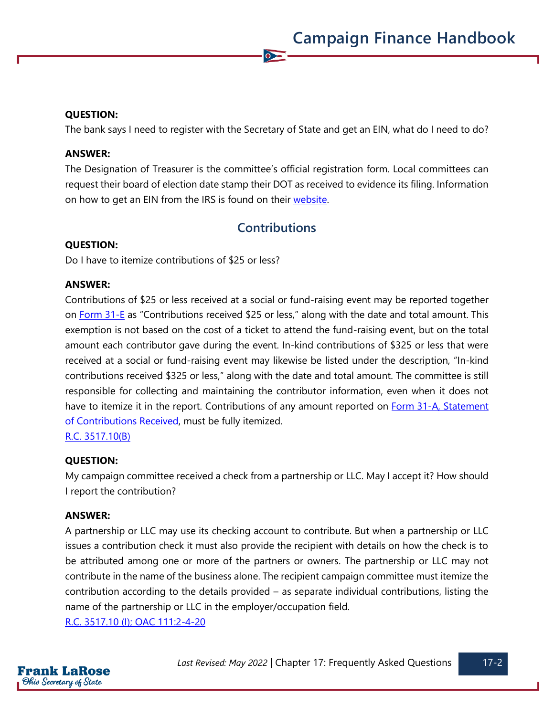#### **QUESTION:**

The bank says I need to register with the Secretary of State and get an EIN, what do I need to do?

 $\sum$ 

#### **ANSWER:**

The Designation of Treasurer is the committee's official registration form. Local committees can request their board of election date stamp their DOT as received to evidence its filing. Information on how to get an EIN from the IRS is found on their [website.](https://www.irs.gov/businesses/small-businesses-self-employed/apply-for-an-employer-identification-number-ein-online)

## **Contributions**

#### **QUESTION:**

Do I have to itemize contributions of \$25 or less?

#### **ANSWER:**

Contributions of \$25 or less received at a social or fund-raising event may be reported together on Form  $31$ -E as "Contributions received \$25 or less," along with the date and total amount. This exemption is not based on the cost of a ticket to attend the fund-raising event, but on the total amount each contributor gave during the event. In-kind contributions of \$325 or less that were received at a social or fund-raising event may likewise be listed under the description, "In-kind contributions received \$325 or less," along with the date and total amount. The committee is still responsible for collecting and maintaining the contributor information, even when it does not have to itemize it in the report. Contributions of any amount reported on Form 31-A, Statement [of Contributions Received,](https://www.ohiosos.gov/globalassets/candidates/forms/31a.pdf) must be fully itemized.

[R.C. 3517.10\(B\)](https://codes.ohio.gov/ohio-revised-code/section-3517.10)

#### **QUESTION:**

My campaign committee received a check from a partnership or LLC. May I accept it? How should I report the contribution?

#### **ANSWER:**

A partnership or LLC may use its checking account to contribute. But when a partnership or LLC issues a contribution check it must also provide the recipient with details on how the check is to be attributed among one or more of the partners or owners. The partnership or LLC may not contribute in the name of the business alone. The recipient campaign committee must itemize the contribution according to the details provided – as separate individual contributions, listing the name of the partnership or LLC in the employer/occupation field.

[R.C. 3517.10 \(I\);](https://codes.ohio.gov/ohio-revised-code/section-3517.10) [OAC 111:2-4-20](https://codes.ohio.gov/ohio-administrative-code/rule-111:2-4-20)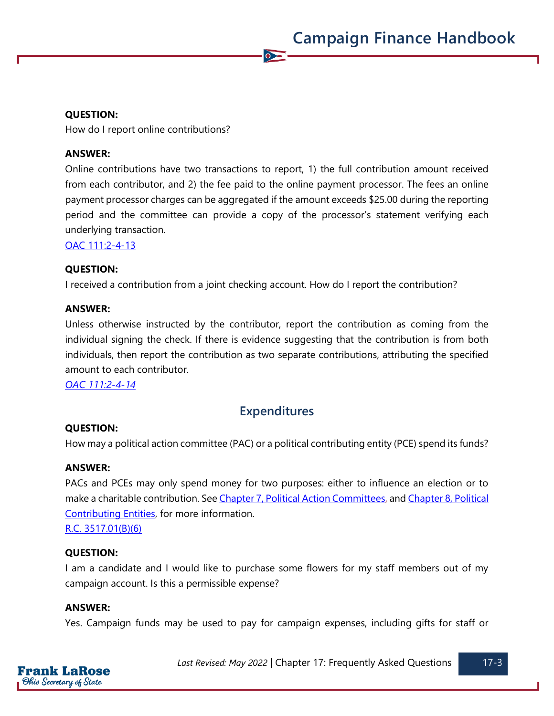#### **QUESTION:**

How do I report online contributions?

#### **ANSWER:**

Online contributions have two transactions to report, 1) the full contribution amount received from each contributor, and 2) the fee paid to the online payment processor. The fees an online payment processor charges can be aggregated if the amount exceeds \$25.00 during the reporting period and the committee can provide a copy of the processor's statement verifying each underlying transaction.

 $\sum$ 

[OAC 111:2-4-13](https://codes.ohio.gov/ohio-administrative-code/rule-111:2-4-13)

#### **QUESTION:**

I received a contribution from a joint checking account. How do I report the contribution?

#### **ANSWER:**

Unless otherwise instructed by the contributor, report the contribution as coming from the individual signing the check. If there is evidence suggesting that the contribution is from both individuals, then report the contribution as two separate contributions, attributing the specified amount to each contributor.

*OAC [111:2-4-14](https://codes.ohio.gov/ohio-administrative-code/rule-111:2-4-14)*

## **Expenditures**

#### **QUESTION:**

How may a political action committee (PAC) or a political contributing entity (PCE) spend its funds?

#### **ANSWER:**

PACs and PCEs may only spend money for two purposes: either to influence an election or to make a charitable contribution. Se[e Chapter 7, Political Action Committees,](https://www.ohiosos.gov/globalassets/candidates/cfguide/chapters/chapter7.pdf) and [Chapter 8, Political](https://www.ohiosos.gov/globalassets/candidates/cfguide/chapters/chapter8.pdf)  [Contributing Entities,](https://www.ohiosos.gov/globalassets/candidates/cfguide/chapters/chapter8.pdf) for more information.

[R.C. 3517.01\(B\)\(6\)](https://codes.ohio.gov/ohio-revised-code/section-3517.01)

#### **QUESTION:**

I am a candidate and I would like to purchase some flowers for my staff members out of my campaign account. Is this a permissible expense?

#### **ANSWER:**

Yes. Campaign funds may be used to pay for campaign expenses, including gifts for staff or

*Last Revised: May 2022* | Chapter 17: Frequently Asked Questions 17-3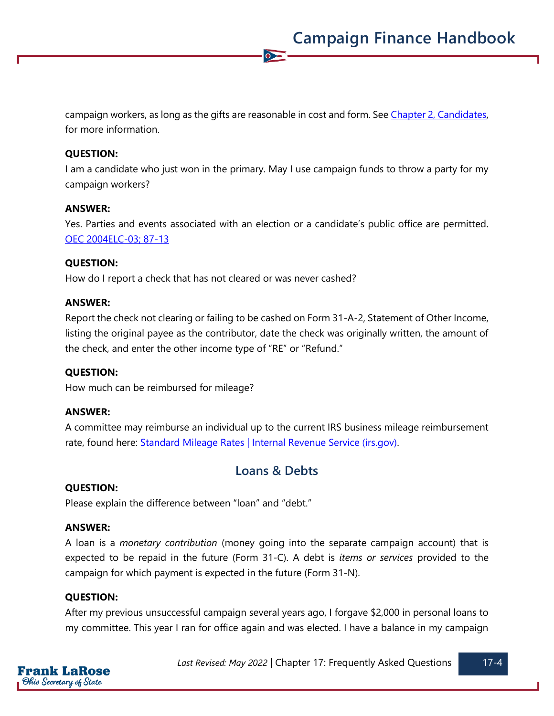campaign workers, as long as the gifts are reasonable in cost and form. See [Chapter 2, Candidates,](https://www.ohiosos.gov/globalassets/candidates/cfguide/chapters/chapter2.pdf) for more information.

 $\sum$ 

#### **QUESTION:**

I am a candidate who just won in the primary. May I use campaign funds to throw a party for my campaign workers?

#### **ANSWER:**

Yes. Parties and events associated with an election or a candidate's public office are permitted. [OEC 2004ELC-03;](https://elc.ohio.gov/wps/portal/gov/elc/opinions-decisions/advisory-opinions/by-year/2004-03) [87-13](https://elc.ohio.gov/wps/portal/gov/elc/opinions-decisions/advisory-opinions/by-year/87-13)

#### **QUESTION:**

How do I report a check that has not cleared or was never cashed?

#### **ANSWER:**

Report the check not clearing or failing to be cashed on Form 31-A-2, Statement of Other Income, listing the original payee as the contributor, date the check was originally written, the amount of the check, and enter the other income type of "RE" or "Refund."

#### **QUESTION:**

How much can be reimbursed for mileage?

#### **ANSWER:**

A committee may reimburse an individual up to the current IRS business mileage reimbursement rate, found here: [Standard Mileage Rates | Internal Revenue Service \(irs.gov\).](https://www.irs.gov/tax-professionals/standard-mileage-rates)

### **Loans & Debts**

#### **QUESTION:**

Please explain the difference between "loan" and "debt."

#### **ANSWER:**

A loan is a *monetary contribution* (money going into the separate campaign account) that is expected to be repaid in the future (Form 31-C). A debt is *items or services* provided to the campaign for which payment is expected in the future (Form 31-N).

#### **QUESTION:**

After my previous unsuccessful campaign several years ago, I forgave \$2,000 in personal loans to my committee. This year I ran for office again and was elected. I have a balance in my campaign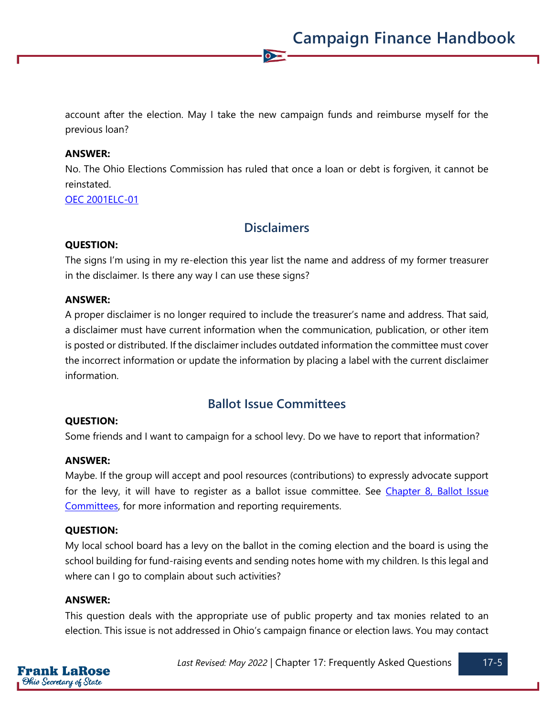account after the election. May I take the new campaign funds and reimburse myself for the previous loan?

 $\sum$ 

#### **ANSWER:**

No. The Ohio Elections Commission has ruled that once a loan or debt is forgiven, it cannot be reinstated.

[OEC 2001ELC-01](https://elc.ohio.gov/wps/portal/gov/elc/opinions-decisions/advisory-opinions/by-year/2001-01)

## **Disclaimers**

#### **QUESTION:**

The signs I'm using in my re-election this year list the name and address of my former treasurer in the disclaimer. Is there any way I can use these signs?

#### **ANSWER:**

A proper disclaimer is no longer required to include the treasurer's name and address. That said, a disclaimer must have current information when the communication, publication, or other item is posted or distributed. If the disclaimer includes outdated information the committee must cover the incorrect information or update the information by placing a label with the current disclaimer information.

## **Ballot Issue Committees**

#### **QUESTION:**

Some friends and I want to campaign for a school levy. Do we have to report that information?

#### **ANSWER:**

Maybe. If the group will accept and pool resources (contributions) to expressly advocate support for the levy, it will have to register as a ballot issue committee. See [Chapter 8, Ballot](https://www.ohiosos.gov/globalassets/candidates/cfguide/chapters/chapter8.pdf) Issue [Committees,](https://www.ohiosos.gov/globalassets/candidates/cfguide/chapters/chapter8.pdf) for more information and reporting requirements.

#### **QUESTION:**

My local school board has a levy on the ballot in the coming election and the board is using the school building for fund-raising events and sending notes home with my children. Is this legal and where can I go to complain about such activities?

#### **ANSWER:**

This question deals with the appropriate use of public property and tax monies related to an election. This issue is not addressed in Ohio's campaign finance or election laws. You may contact